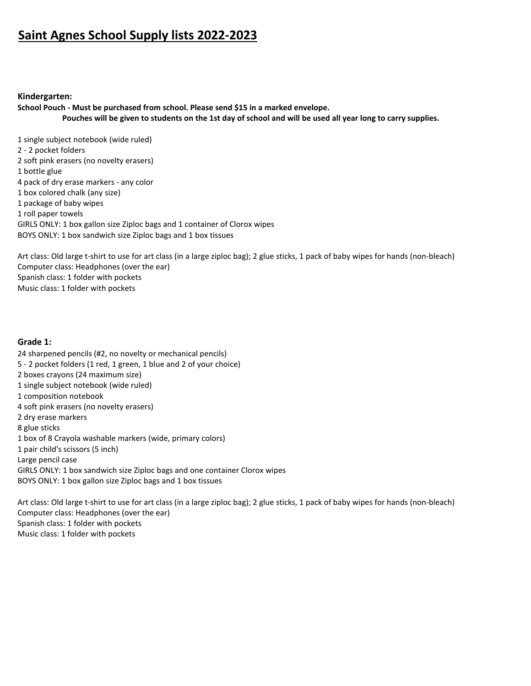# **Saint Agnes School Supply lists 2022-2023**

#### **Kindergarten:**

**School Pouch - Must be purchased from school. Please send \$15 in a marked envelope. Pouches will be given to students on the 1st day of school and will be used all year long to carry supplies.** 

1 single subject notebook (wide ruled) 2 - 2 pocket folders 2 soft pink erasers (no novelty erasers) 1 bottle glue 4 pack of dry erase markers - any color 1 box colored chalk (any size) 1 package of baby wipes 1 roll paper towels GIRLS ONLY: 1 box gallon size Ziploc bags and 1 container of Clorox wipes BOYS ONLY: 1 box sandwich size Ziploc bags and 1 box tissues

Art class: Old large t-shirt to use for art class (in a large ziploc bag); 2 glue sticks, 1 pack of baby wipes for hands (non-bleach) Computer class: Headphones (over the ear) Spanish class: 1 folder with pockets Music class: 1 folder with pockets

#### **Grade 1:**

24 sharpened pencils (#2, no novelty or mechanical pencils) 5 - 2 pocket folders (1 red, 1 green, 1 blue and 2 of your choice) 2 boxes crayons (24 maximum size) 1 single subject notebook (wide ruled) 1 composition notebook 4 soft pink erasers (no novelty erasers) 2 dry erase markers 8 glue sticks 1 box of 8 Crayola washable markers (wide, primary colors) 1 pair child's scissors (5 inch) Large pencil case GIRLS ONLY: 1 box sandwich size Ziploc bags and one container Clorox wipes BOYS ONLY: 1 box gallon size Ziploc bags and 1 box tissues

Art class: Old large t-shirt to use for art class (in a large ziploc bag); 2 glue sticks, 1 pack of baby wipes for hands (non-bleach) Computer class: Headphones (over the ear) Spanish class: 1 folder with pockets Music class: 1 folder with pockets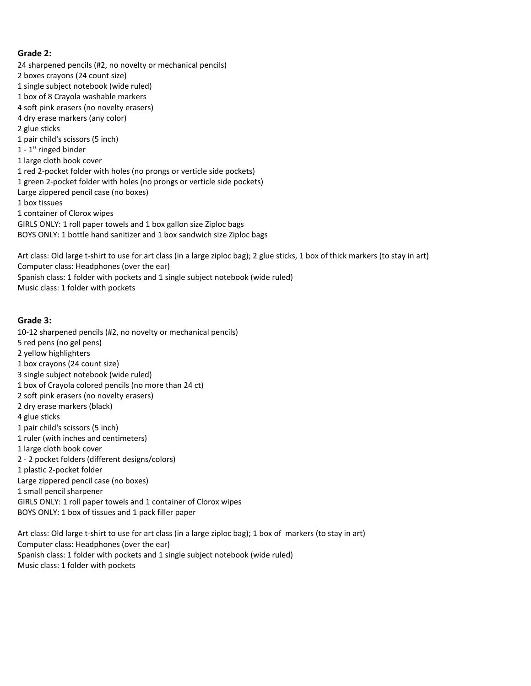## **Grade 2:**

24 sharpened pencils (#2, no novelty or mechanical pencils) 2 boxes crayons (24 count size) 1 single subject notebook (wide ruled) 1 box of 8 Crayola washable markers 4 soft pink erasers (no novelty erasers) 4 dry erase markers (any color) 2 glue sticks 1 pair child's scissors (5 inch) 1 - 1" ringed binder 1 large cloth book cover 1 red 2-pocket folder with holes (no prongs or verticle side pockets) 1 green 2-pocket folder with holes (no prongs or verticle side pockets) Large zippered pencil case (no boxes) 1 box tissues 1 container of Clorox wipes GIRLS ONLY: 1 roll paper towels and 1 box gallon size Ziploc bags BOYS ONLY: 1 bottle hand sanitizer and 1 box sandwich size Ziploc bags

Art class: Old large t-shirt to use for art class (in a large ziploc bag); 2 glue sticks, 1 box of thick markers (to stay in art) Computer class: Headphones (over the ear) Spanish class: 1 folder with pockets and 1 single subject notebook (wide ruled) Music class: 1 folder with pockets

### **Grade 3:**

10-12 sharpened pencils (#2, no novelty or mechanical pencils) 5 red pens (no gel pens) 2 yellow highlighters 1 box crayons (24 count size) 3 single subject notebook (wide ruled) 1 box of Crayola colored pencils (no more than 24 ct) 2 soft pink erasers (no novelty erasers) 2 dry erase markers (black) 4 glue sticks 1 pair child's scissors (5 inch) 1 ruler (with inches and centimeters) 1 large cloth book cover 2 - 2 pocket folders (different designs/colors) 1 plastic 2-pocket folder Large zippered pencil case (no boxes) 1 small pencil sharpener GIRLS ONLY: 1 roll paper towels and 1 container of Clorox wipes BOYS ONLY: 1 box of tissues and 1 pack filler paper

Art class: Old large t-shirt to use for art class (in a large ziploc bag); 1 box of markers (to stay in art) Computer class: Headphones (over the ear) Spanish class: 1 folder with pockets and 1 single subject notebook (wide ruled) Music class: 1 folder with pockets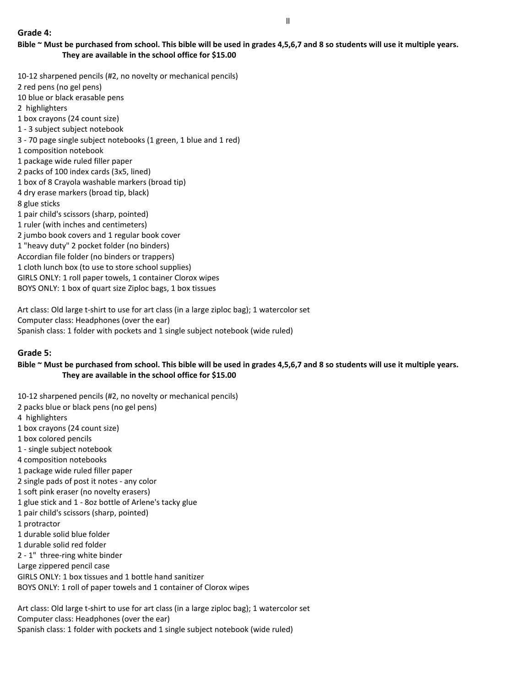10-12 sharpened pencils (#2, no novelty or mechanical pencils) 2 red pens (no gel pens) 10 blue or black erasable pens 2 highlighters 1 box crayons (24 count size) 1 - 3 subject subject notebook 3 - 70 page single subject notebooks (1 green, 1 blue and 1 red) 1 composition notebook 1 package wide ruled filler paper 2 packs of 100 index cards (3x5, lined) 1 box of 8 Crayola washable markers (broad tip) 4 dry erase markers (broad tip, black) 8 glue sticks 1 pair child's scissors (sharp, pointed) 1 ruler (with inches and centimeters) 2 jumbo book covers and 1 regular book cover 1 "heavy duty" 2 pocket folder (no binders) Accordian file folder (no binders or trappers) 1 cloth lunch box (to use to store school supplies) GIRLS ONLY: 1 roll paper towels, 1 container Clorox wipes BOYS ONLY: 1 box of quart size Ziploc bags, 1 box tissues

Art class: Old large t-shirt to use for art class (in a large ziploc bag); 1 watercolor set Computer class: Headphones (over the ear) Spanish class: 1 folder with pockets and 1 single subject notebook (wide ruled)

## **Grade 5:**

**Bible ~ Must be purchased from school. This bible will be used in grades 4,5,6,7 and 8 so students will use it multiple years. They are available in the school office for \$15.00**

- 10-12 sharpened pencils (#2, no novelty or mechanical pencils)
- 2 packs blue or black pens (no gel pens)
- 4 highlighters
- 1 box crayons (24 count size)
- 1 box colored pencils
- 1 single subject notebook
- 4 composition notebooks
- 1 package wide ruled filler paper
- 2 single pads of post it notes any color
- 1 soft pink eraser (no novelty erasers)
- 1 glue stick and 1 8oz bottle of Arlene's tacky glue
- 1 pair child's scissors (sharp, pointed)
- 1 protractor
- 1 durable solid blue folder
- 1 durable solid red folder
- 2 1" three-ring white binder
- Large zippered pencil case
- GIRLS ONLY: 1 box tissues and 1 bottle hand sanitizer
- BOYS ONLY: 1 roll of paper towels and 1 container of Clorox wipes

Art class: Old large t-shirt to use for art class (in a large ziploc bag); 1 watercolor set Computer class: Headphones (over the ear) Spanish class: 1 folder with pockets and 1 single subject notebook (wide ruled)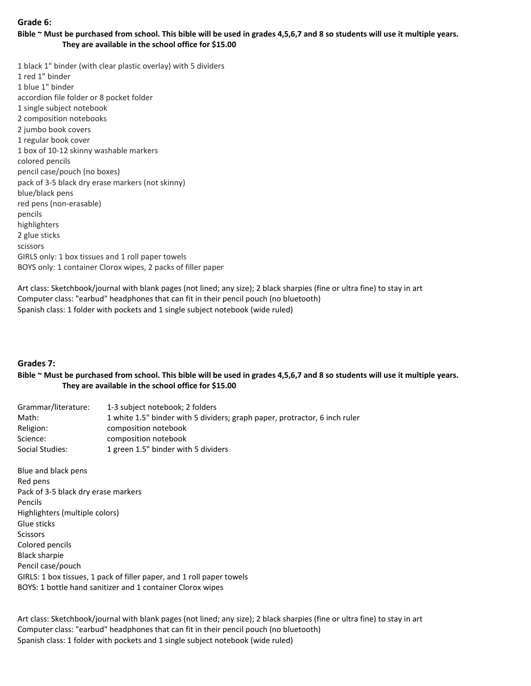## **Grade 6:**

**Bible ~ Must be purchased from school. This bible will be used in grades 4,5,6,7 and 8 so students will use it multiple years. They are available in the school office for \$15.00**

1 black 1" binder (with clear plastic overlay) with 5 dividers 1 red 1" binder 1 blue 1" binder accordion file folder or 8 pocket folder 1 single subject notebook 2 composition notebooks 2 jumbo book covers 1 regular book cover 1 box of 10-12 skinny washable markers colored pencils pencil case/pouch (no boxes) pack of 3-5 black dry erase markers (not skinny) blue/black pens red pens (non-erasable) pencils highlighters 2 glue sticks scissors GIRLS only: 1 box tissues and 1 roll paper towels BOYS only: 1 container Clorox wipes, 2 packs of filler paper

Art class: Sketchbook/journal with blank pages (not lined; any size); 2 black sharpies (fine or ultra fine) to stay in art Computer class: "earbud" headphones that can fit in their pencil pouch (no bluetooth) Spanish class: 1 folder with pockets and 1 single subject notebook (wide ruled)

## **Grades 7:**

## **Bible ~ Must be purchased from school. This bible will be used in grades 4,5,6,7 and 8 so students will use it multiple years. They are available in the school office for \$15.00**

| Grammar/literature: | 1-3 subject notebook; 2 folders                                            |
|---------------------|----------------------------------------------------------------------------|
| Math:               | 1 white 1.5" binder with 5 dividers; graph paper, protractor, 6 inch ruler |
| Religion:           | composition notebook                                                       |
| Science:            | composition notebook                                                       |
| Social Studies:     | 1 green 1.5" binder with 5 dividers                                        |

Blue and black pens Red pens Pack of 3-5 black dry erase markers Pencils Highlighters (multiple colors) Glue sticks Scissors Colored pencils Black sharpie Pencil case/pouch GIRLS: 1 box tissues, 1 pack of filler paper, and 1 roll paper towels BOYS: 1 bottle hand sanitizer and 1 container Clorox wipes

Art class: Sketchbook/journal with blank pages (not lined; any size); 2 black sharpies (fine or ultra fine) to stay in art Computer class: "earbud" headphones that can fit in their pencil pouch (no bluetooth) Spanish class: 1 folder with pockets and 1 single subject notebook (wide ruled)